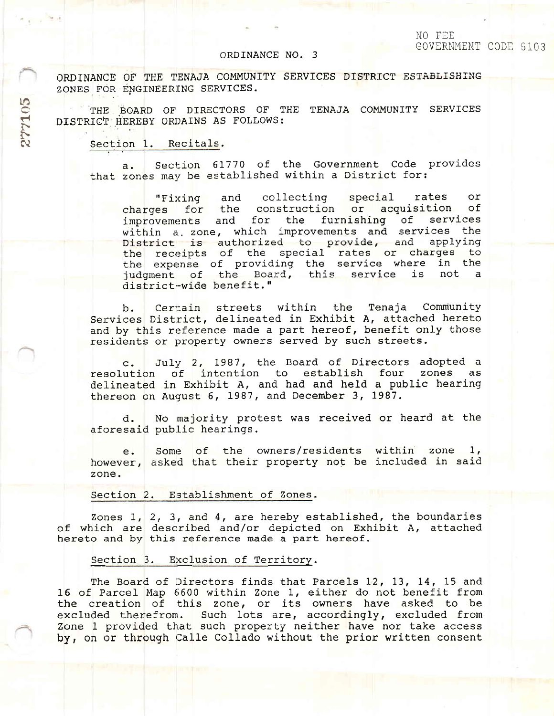#### ORDINANCE NO. 3

ORDINANCE OF THE TENAJA COMMUNITY SERVICES DISTRICT ESTABLISHING ZONES FOR ENGINEERING SERVICES.

THE BOARD OF DIRECTORS OF THE TENAJA COMMUNITY SERVICES DISTRICT HEREBY ORDAINS AS FOLLOWS:

Section 1. Recitals.

277105

Section 61770 of the Government Code provides a. that zones may be established within a District for:

collecting special "Fixing and rates or charges for the construction or acquisition оf and for the furnishing of services improvements within a zone, which improvements and services the District is authorized to provide, and applying the receipts of the special rates or charges to the expense of providing the service where in the judgment of the Board, this service is not district-wide benefit."

Certain streets within the Tenaja Community  $b$ . Services District, delineated in Exhibit A, attached hereto and by this reference made a part hereof, benefit only those residents or property owners served by such streets.

July 2, 1987, the Board of Directors adopted a  $c_{\bullet}$ resolution of intention to establish four zones as delineated in Exhibit A, and had and held a public hearing thereon on August 6, 1987, and December 3, 1987.

No majority protest was received or heard at the d. aforesaid public hearings.

Some of the owners/residents within zone 1, e. however, asked that their property not be included in said zone.

### Section 2. Establishment of Zones.

Zones  $1, 2, 3,$  and  $4,$  are hereby established, the boundaries of which are described and/or depicted on Exhibit A, attached hereto and by this reference made a part hereof.

# Section 3. Exclusion of Territory.

The Board of Directors finds that Parcels 12, 13, 14, 15 and 16 of Parcel Map 6600 within Zone 1, either do not benefit from the creation of this zone, or its owners have asked to be excluded therefrom. Such lots are, accordingly, excluded from Zone 1 provided that such property neither have nor take access by, on or through Calle Collado without the prior written consent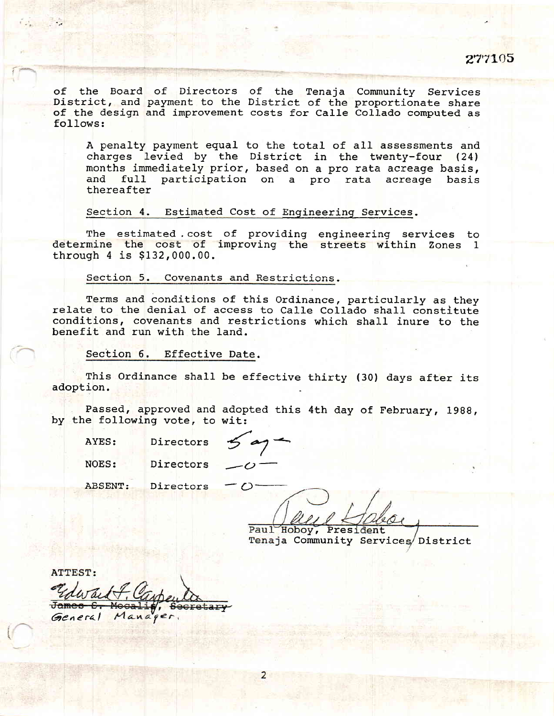of the Board of Directors of the Tenaja Community Services<br>District, and payment to the District of the proportionate share<br>of the design and improvement costs for Calle Collado computed as<br>follows:

A penalty payment equal to the total of all assessments and charges levied by the District in the twenty-four (24) months immediately prior, based on a pro rata acreage basis, and full participation on a pro rata acreage basis thereafter

Section 4. Estimated Cost of Engineering Services.

The estimated cost of providing engineering services to determine the cost of improving the streets within Zones 1 through 4 is \$132,000.00.

Section 5. Covenants and Restrictions.

Terms and conditions of this Ordinance, particularly as they relate to the denial of access to Calle Collado shall constitute conditions, covenants and restrictions which shall inure to the benefit and run with the land.

Section 6. Effective Date.

This Ordinance shall be effective thirty (30) days after its adoption.

Passed, approved and adopted this 4th day of February, 1988, by the following vote, to wit:

2

AYES:

NOES:

Directors

Directors  $\leq a$ 

-.

 $\sim$ 

ABSENT: **Directors** 

Paul Hoboy, President boy, President<br>Community Services Distric

ATTEST:

 $\cap$ 

**BALLET** 

cretary General Manager.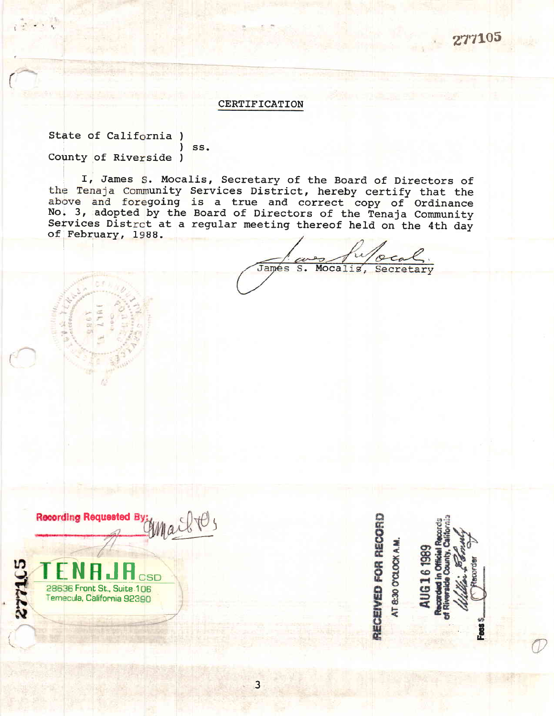277105

# **CERTIFICATION**

State of California) County of Riverside )

 $)$  ss.

I, James S. Mocalis, Secretary of the Board of Directors of the Tenaja Community Services District, hereby certify that the above and foregoing is a true and correct copy of Ordinance No. 3, adopted by the Board of Directors of the Tenaja Community Services Distrct at a regular meeting thereof held on the 4th day of February, 1988.

James  $S$ . Mocalis, Secretary

Recording Requested By:<br>Compact C



RECEIVED FOR RECORD AT 8:30 O'CLOCK A.M.

G161989

**B**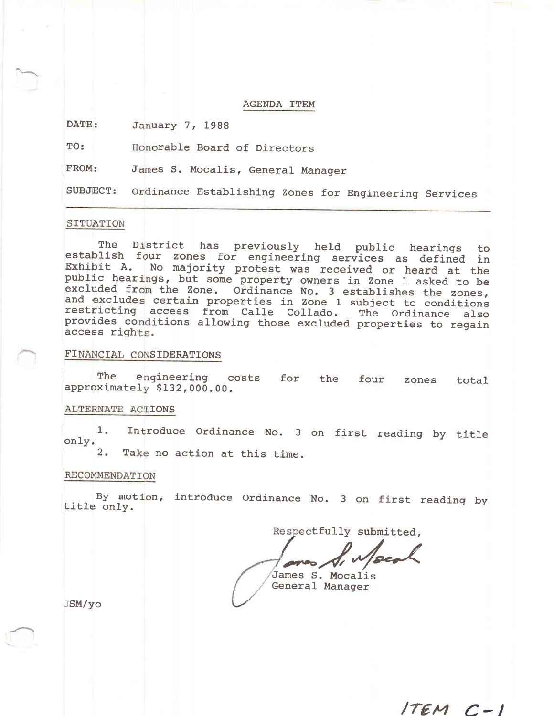#### AGENDA TTEM

DATE: uary 7, 1988

TO: rable Board of Directors

FROM: James S. Mocalis, General Manager

SUBJECT: Ordinance Establishing Zones for Engineering Services

#### SITUATION

The District has previously held public hearings to<br>establish four zones for engineering services as defined in Exhibit A. No majority protest was received or heard at the public hearings, but some property owners in Zone 1 asked to be<br>excluded from the Zone. Ordinance No. 3 establishes the zones,<br>and excludes certain properties in Zone 1 subject to conditions<br>restricting access from Calle C The District has previously held public hearings excluded fr<br>and exclude<br>restricting restricting access from Calle Collado. The Ordinance also<br>provides conditions allowing those excluded properties to regain access rights.

# FINANCIAL CONSIDERATIONS

engineering costs for the four zones total The  $\,$ approximately \$132,000.00.

# ALTERNATE ACTIONS

1. Introduce Ordinance No. 3 on first reading by titl on1y.

2. Take no action at this time.

# RECOMMENDATION

By motion, introduce Ordinance No. 3 on first reading by title only.

Respectfully submitted,

 $ITEMC-I$ 

James S. Mocalis General Manager

JSM/yo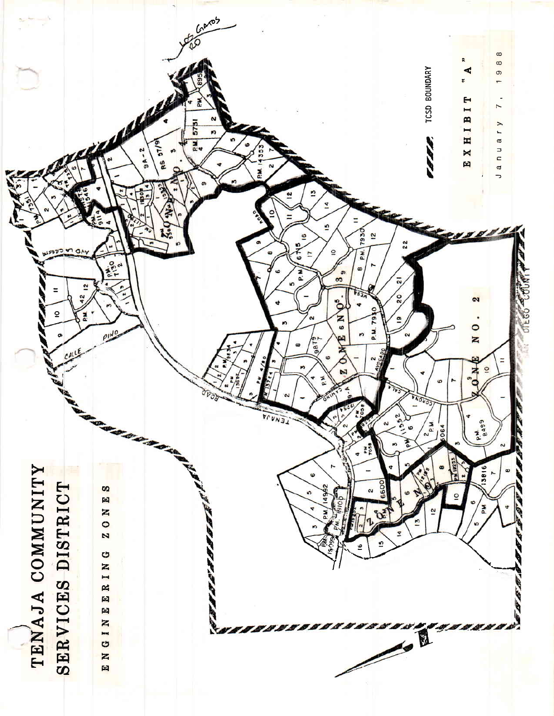